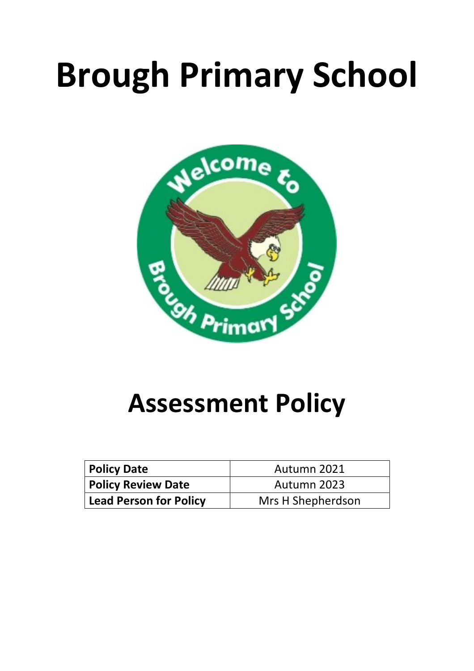# **Brough Primary School**



# **Assessment Policy**

| <b>Policy Date</b>            | Autumn 2021       |
|-------------------------------|-------------------|
| <b>Policy Review Date</b>     | Autumn 2023       |
| <b>Lead Person for Policy</b> | Mrs H Shepherdson |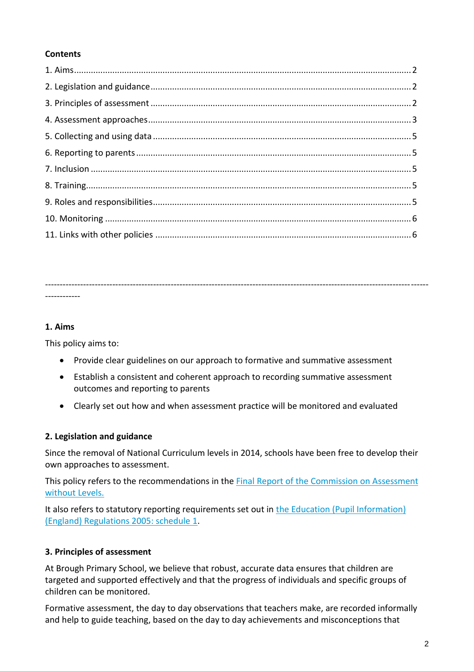# **Contents**

----------------------------------------------------------------------------------------------------------------------------------- ------------

#### **1. Aims**

This policy aims to:

- Provide clear guidelines on our approach to formative and summative assessment
- Establish a consistent and coherent approach to recording summative assessment outcomes and reporting to parents
- Clearly set out how and when assessment practice will be monitored and evaluated

#### **2. Legislation and guidance**

Since the removal of National Curriculum levels in 2014, schools have been free to develop their own approaches to assessment.

This policy refers to the recommendations in the [Final Report of the Commission on Assessment](https://www.gov.uk/government/uploads/system/uploads/attachment_data/file/483058/Commission_on_Assessment_Without_Levels_-_report.pdf)  [without Levels.](https://www.gov.uk/government/uploads/system/uploads/attachment_data/file/483058/Commission_on_Assessment_Without_Levels_-_report.pdf)

It also refers to statutory reporting requirements set out in the Education (Pupil Information) [\(England\) Regulations 2005: schedule 1.](http://www.legislation.gov.uk/uksi/2005/1437/schedule/1/made)

#### **3. Principles of assessment**

At Brough Primary School, we believe that robust, accurate data ensures that children are targeted and supported effectively and that the progress of individuals and specific groups of children can be monitored.

Formative assessment, the day to day observations that teachers make, are recorded informally and help to guide teaching, based on the day to day achievements and misconceptions that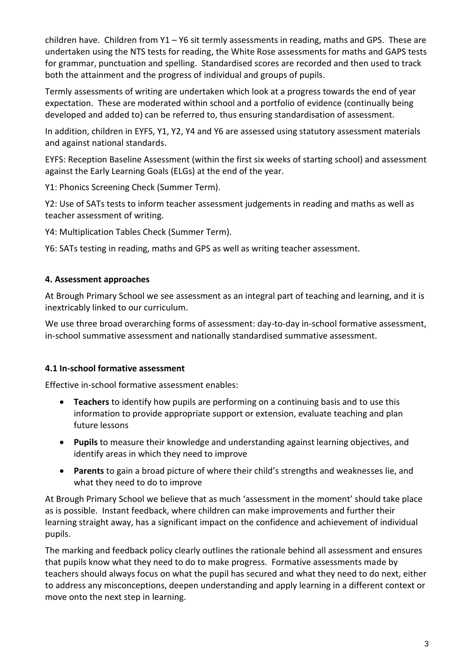children have. Children from  $Y1 - Y6$  sit termly assessments in reading, maths and GPS. These are undertaken using the NTS tests for reading, the White Rose assessments for maths and GAPS tests for grammar, punctuation and spelling. Standardised scores are recorded and then used to track both the attainment and the progress of individual and groups of pupils.

Termly assessments of writing are undertaken which look at a progress towards the end of year expectation. These are moderated within school and a portfolio of evidence (continually being developed and added to) can be referred to, thus ensuring standardisation of assessment.

In addition, children in EYFS, Y1, Y2, Y4 and Y6 are assessed using statutory assessment materials and against national standards.

EYFS: Reception Baseline Assessment (within the first six weeks of starting school) and assessment against the Early Learning Goals (ELGs) at the end of the year.

Y1: Phonics Screening Check (Summer Term).

Y2: Use of SATs tests to inform teacher assessment judgements in reading and maths as well as teacher assessment of writing.

Y4: Multiplication Tables Check (Summer Term).

Y6: SATs testing in reading, maths and GPS as well as writing teacher assessment.

## **4. Assessment approaches**

At Brough Primary School we see assessment as an integral part of teaching and learning, and it is inextricably linked to our curriculum.

We use three broad overarching forms of assessment: day-to-day in-school formative assessment, in-school summative assessment and nationally standardised summative assessment.

# **4.1 In-school formative assessment**

Effective in-school formative assessment enables:

- **Teachers** to identify how pupils are performing on a continuing basis and to use this information to provide appropriate support or extension, evaluate teaching and plan future lessons
- **Pupils** to measure their knowledge and understanding against learning objectives, and identify areas in which they need to improve
- **Parents** to gain a broad picture of where their child's strengths and weaknesses lie, and what they need to do to improve

At Brough Primary School we believe that as much 'assessment in the moment' should take place as is possible. Instant feedback, where children can make improvements and further their learning straight away, has a significant impact on the confidence and achievement of individual pupils.

The marking and feedback policy clearly outlines the rationale behind all assessment and ensures that pupils know what they need to do to make progress. Formative assessments made by teachers should always focus on what the pupil has secured and what they need to do next, either to address any misconceptions, deepen understanding and apply learning in a different context or move onto the next step in learning.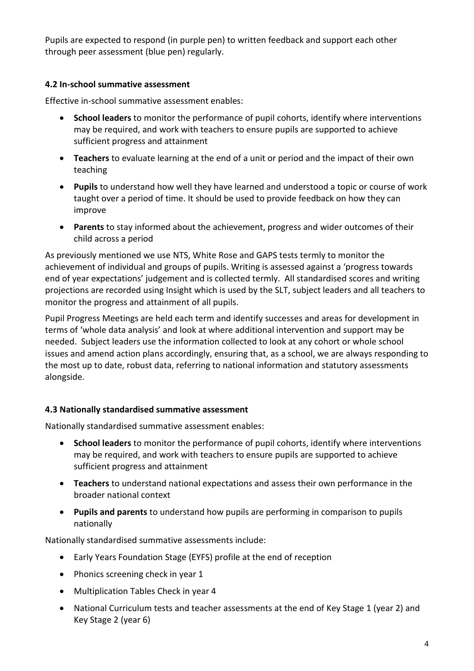Pupils are expected to respond (in purple pen) to written feedback and support each other through peer assessment (blue pen) regularly.

## **4.2 In-school summative assessment**

Effective in-school summative assessment enables:

- **School leaders** to monitor the performance of pupil cohorts, identify where interventions may be required, and work with teachers to ensure pupils are supported to achieve sufficient progress and attainment
- **Teachers** to evaluate learning at the end of a unit or period and the impact of their own teaching
- **Pupils** to understand how well they have learned and understood a topic or course of work taught over a period of time. It should be used to provide feedback on how they can improve
- **Parents** to stay informed about the achievement, progress and wider outcomes of their child across a period

As previously mentioned we use NTS, White Rose and GAPS tests termly to monitor the achievement of individual and groups of pupils. Writing is assessed against a 'progress towards end of year expectations' judgement and is collected termly. All standardised scores and writing projections are recorded using Insight which is used by the SLT, subject leaders and all teachers to monitor the progress and attainment of all pupils.

Pupil Progress Meetings are held each term and identify successes and areas for development in terms of 'whole data analysis' and look at where additional intervention and support may be needed. Subject leaders use the information collected to look at any cohort or whole school issues and amend action plans accordingly, ensuring that, as a school, we are always responding to the most up to date, robust data, referring to national information and statutory assessments alongside.

#### **4.3 Nationally standardised summative assessment**

Nationally standardised summative assessment enables:

- **School leaders** to monitor the performance of pupil cohorts, identify where interventions may be required, and work with teachers to ensure pupils are supported to achieve sufficient progress and attainment
- **Teachers** to understand national expectations and assess their own performance in the broader national context
- **Pupils and parents** to understand how pupils are performing in comparison to pupils nationally

Nationally standardised summative assessments include:

- Early Years Foundation Stage (EYFS) profile at the end of reception
- Phonics screening check in year 1
- Multiplication Tables Check in year 4
- National Curriculum tests and teacher assessments at the end of Key Stage 1 (year 2) and Key Stage 2 (year 6)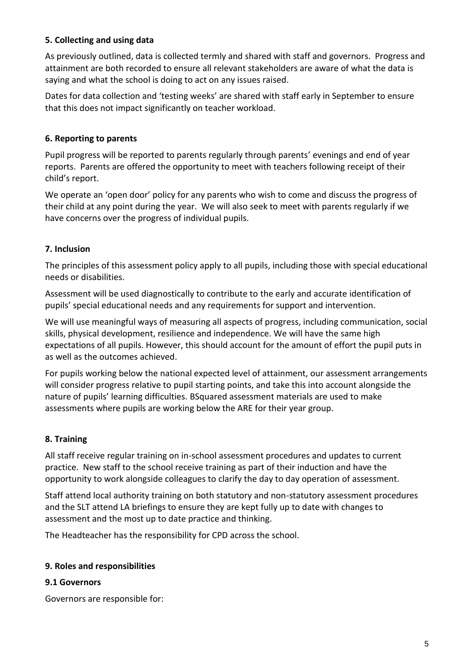## **5. Collecting and using data**

As previously outlined, data is collected termly and shared with staff and governors. Progress and attainment are both recorded to ensure all relevant stakeholders are aware of what the data is saying and what the school is doing to act on any issues raised.

Dates for data collection and 'testing weeks' are shared with staff early in September to ensure that this does not impact significantly on teacher workload.

#### **6. Reporting to parents**

Pupil progress will be reported to parents regularly through parents' evenings and end of year reports. Parents are offered the opportunity to meet with teachers following receipt of their child's report.

We operate an 'open door' policy for any parents who wish to come and discuss the progress of their child at any point during the year. We will also seek to meet with parents regularly if we have concerns over the progress of individual pupils.

## **7. Inclusion**

The principles of this assessment policy apply to all pupils, including those with special educational needs or disabilities.

Assessment will be used diagnostically to contribute to the early and accurate identification of pupils' special educational needs and any requirements for support and intervention.

We will use meaningful ways of measuring all aspects of progress, including communication, social skills, physical development, resilience and independence. We will have the same high expectations of all pupils. However, this should account for the amount of effort the pupil puts in as well as the outcomes achieved.

For pupils working below the national expected level of attainment, our assessment arrangements will consider progress relative to pupil starting points, and take this into account alongside the nature of pupils' learning difficulties. BSquared assessment materials are used to make assessments where pupils are working below the ARE for their year group.

#### **8. Training**

All staff receive regular training on in-school assessment procedures and updates to current practice. New staff to the school receive training as part of their induction and have the opportunity to work alongside colleagues to clarify the day to day operation of assessment.

Staff attend local authority training on both statutory and non-statutory assessment procedures and the SLT attend LA briefings to ensure they are kept fully up to date with changes to assessment and the most up to date practice and thinking.

The Headteacher has the responsibility for CPD across the school.

#### **9. Roles and responsibilities**

#### **9.1 Governors**

Governors are responsible for: